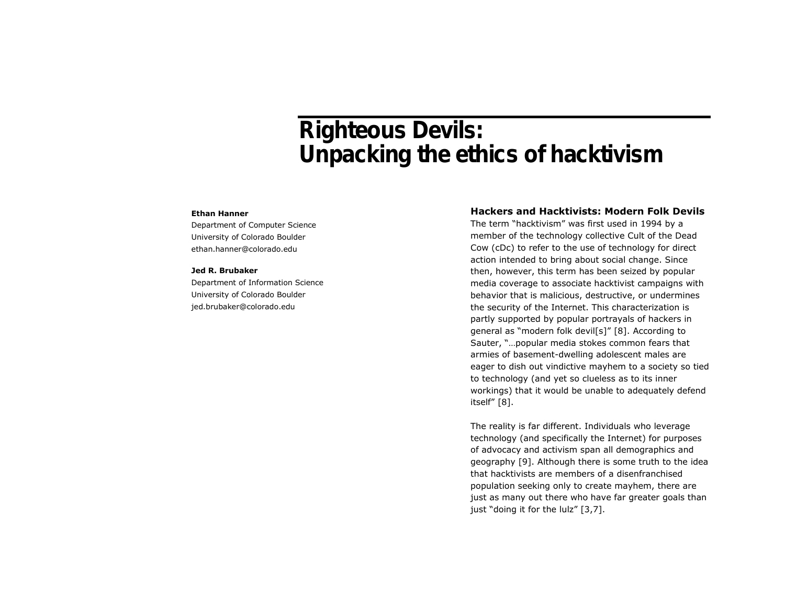# Righteous Devils: Unpacking the ethics of hacktivism

#### **Ethan Hanner**

Department of Computer Science University of Colorado Boulder ethan.hanner@colorado.edu

#### **Jed R. Brubaker**

Department of Information Science University of Colorado Boulder jed.brubaker@colorado.edu

## **Hackers and Hacktivists: Modern Folk Devils**

The term "hacktivism" was first used in 1994 by a member of the technology collective Cult of the Dead Cow (cDc) to refer to the use of technology for direct action intended to bring about social change. Since then, however, this term has been seized by popular media coverage to associate hacktivist campaigns with behavior that is malicious, destructive, or undermines the security of the Internet. This characterization is partly supported by popular portrayals of hackers in general as "modern folk devil[s]" [8]. According to Sauter, "…popular media stokes common fears that armies of basement-dwelling adolescent males are eager to dish out vindictive mayhem to a society so tied to technology (and yet so clueless as to its inner workings) that it would be unable to adequately defend itself" [8].

The reality is far different. Individuals who leverage technology (and specifically the Internet) for purposes of advocacy and activism span all demographics and geography [9]. Although there is some truth to the idea that hacktivists are members of a disenfranchised population seeking only to create mayhem, there are just as many out there who have far greater goals than just "doing it for the lulz" [3,7].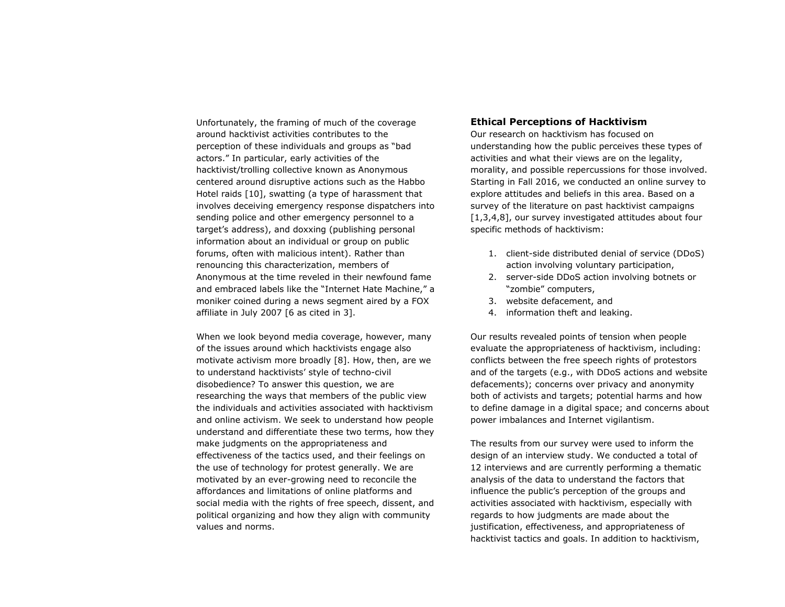Unfortunately, the framing of much of the coverage around hacktivist activities contributes to the perception of these individuals and groups as "bad actors." In particular, early activities of the hacktivist/trolling collective known as Anonymous centered around disruptive actions such as the Habbo Hotel raids [10], swatting (a type of harassment that involves deceiving emergency response dispatchers into sending police and other emergency personnel to a target's address), and doxxing (publishing personal information about an individual or group on public forums, often with malicious intent). Rather than renouncing this characterization, members of Anonymous at the time reveled in their newfound fame and embraced labels like the "Internet Hate Machine," a moniker coined during a news segment aired by a FOX affiliate in July 2007 [6 as cited in 3].

When we look beyond media coverage, however, many of the issues around which hacktivists engage also motivate activism more broadly [8]. How, then, are we to understand hacktivists' style of techno-civil disobedience? To answer this question, we are researching the ways that members of the public view the individuals and activities associated with hacktivism and online activism. We seek to understand how people understand and differentiate these two terms, how they make judgments on the appropriateness and effectiveness of the tactics used, and their feelings on the use of technology for protest generally. We are motivated by an ever-growing need to reconcile the affordances and limitations of online platforms and social media with the rights of free speech, dissent, and political organizing and how they align with community values and norms.

### **Ethical Perceptions of Hacktivism**

Our research on hacktivism has focused on understanding how the public perceives these types of activities and what their views are on the legality, morality, and possible repercussions for those involved. Starting in Fall 2016, we conducted an online survey to explore attitudes and beliefs in this area. Based on a survey of the literature on past hacktivist campaigns [1,3,4,8], our survey investigated attitudes about four specific methods of hacktivism:

- 1. client-side distributed denial of service (DDoS) action involving voluntary participation,
- 2. server-side DDoS action involving botnets or "zombie" computers,
- 3. website defacement, and
- 4. information theft and leaking.

Our results revealed points of tension when people evaluate the appropriateness of hacktivism, including: conflicts between the free speech rights of protestors and of the targets (e.g., with DDoS actions and website defacements); concerns over privacy and anonymity both of activists and targets; potential harms and how to define damage in a digital space; and concerns about power imbalances and Internet vigilantism.

The results from our survey were used to inform the design of an interview study. We conducted a total of 12 interviews and are currently performing a thematic analysis of the data to understand the factors that influence the public's perception of the groups and activities associated with hacktivism, especially with regards to how judgments are made about the justification, effectiveness, and appropriateness of hacktivist tactics and goals. In addition to hacktivism,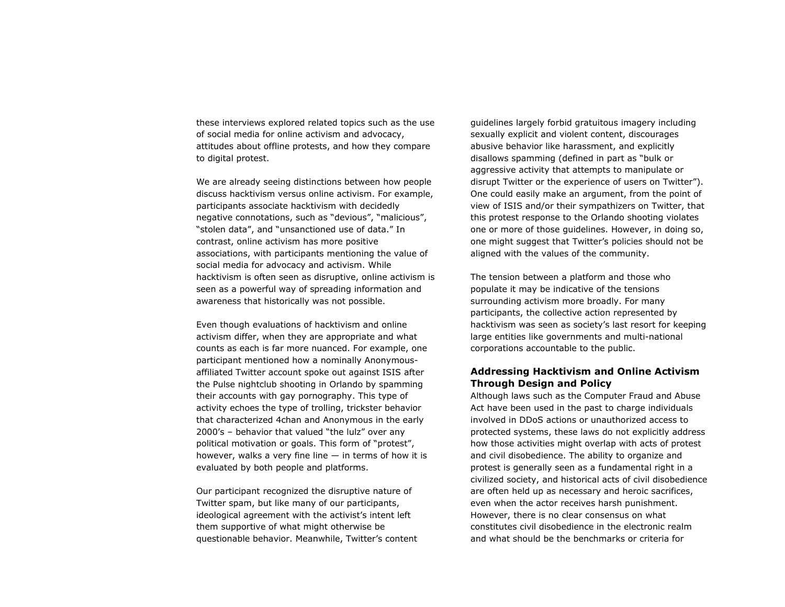these interviews explored related topics such as the use of social media for online activism and advocacy, attitudes about offline protests, and how they compare to digital protest.

We are already seeing distinctions between how people discuss hacktivism versus online activism. For example, participants associate hacktivism with decidedly negative connotations, such as "devious", "malicious", "stolen data", and "unsanctioned use of data." In contrast, online activism has more positive associations, with participants mentioning the value of social media for advocacy and activism. While hacktivism is often seen as disruptive, online activism is seen as a powerful way of spreading information and awareness that historically was not possible.

Even though evaluations of hacktivism and online activism differ, when they are appropriate and what counts as each is far more nuanced. For example, one participant mentioned how a nominally Anonymousaffiliated Twitter account spoke out against ISIS after the Pulse nightclub shooting in Orlando by spamming their accounts with gay pornography. This type of activity echoes the type of trolling, trickster behavior that characterized 4chan and Anonymous in the early 2000's – behavior that valued "the lulz" over any political motivation or goals. This form of "protest", however, walks a very fine line  $-$  in terms of how it is evaluated by both people and platforms.

Our participant recognized the disruptive nature of Twitter spam, but like many of our participants, ideological agreement with the activist's intent left them supportive of what might otherwise be questionable behavior. Meanwhile, Twitter's content guidelines largely forbid gratuitous imagery including sexually explicit and violent content, discourages abusive behavior like harassment, and explicitly disallows spamming (defined in part as "bulk or aggressive activity that attempts to manipulate or disrupt Twitter or the experience of users on Twitter"). One could easily make an argument, from the point of view of ISIS and/or their sympathizers on Twitter, that this protest response to the Orlando shooting violates one or more of those guidelines. However, in doing so, one might suggest that Twitter's policies should not be aligned with the values of the community.

The tension between a platform and those who populate it may be indicative of the tensions surrounding activism more broadly. For many participants, the collective action represented by hacktivism was seen as society's last resort for keeping large entities like governments and multi-national corporations accountable to the public.

## **Addressing Hacktivism and Online Activism Through Design and Policy**

Although laws such as the Computer Fraud and Abuse Act have been used in the past to charge individuals involved in DDoS actions or unauthorized access to protected systems, these laws do not explicitly address how those activities might overlap with acts of protest and civil disobedience. The ability to organize and protest is generally seen as a fundamental right in a civilized society, and historical acts of civil disobedience are often held up as necessary and heroic sacrifices, even when the actor receives harsh punishment. However, there is no clear consensus on what constitutes civil disobedience in the electronic realm and what should be the benchmarks or criteria for